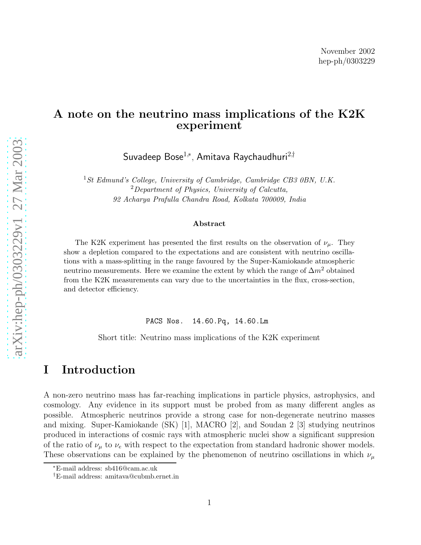## A note on the neutrino mass implications of the K2K experiment

Suvadeep Bose $^{1,*}$ , Amitava Raychaudhuri $^{2,\dagger}$ 

<sup>1</sup>St Edmund's College, University of Cambridge, Cambridge CB3 0BN, U.K.<br><sup>2</sup>Department of Physics, University of Calcutta, 92 Acharya Prafulla Chandra Road, Kolkata 700009, India

#### Abstract

The K2K experiment has presented the first results on the observation of  $\nu_{\mu}$ . They show a depletion compared to the expectations and are consistent with neutrino oscillations with a mass-splitting in the range favoured by the Super-Kamiokande atmospheric neutrino measurements. Here we examine the extent by which the range of  $\Delta m^2$  obtained from the K2K measurements can vary due to the uncertainties in the flux, cross-section, and detector efficiency.

PACS Nos. 14.60.Pq, 14.60.Lm

Short title: Neutrino mass implications of the K2K experiment

## I Introduction

A non-zero neutrino mass has far-reaching implications in particle physics, astrophysics, and cosmology. Any evidence in its support must be probed from as many different angles as possible. Atmospheric neutrinos provide a strong case for non-degenerate neutrino masses and mixing. Super-Kamiokande (SK) [1], MACRO [2], and Soudan 2 [3] studying neutrinos produced in interactions of cosmic rays with atmospheric nuclei show a significant suppresion of the ratio of  $\nu_{\mu}$  to  $\nu_{e}$  with respect to the expectation from standard hadronic shower models. These observations can be explained by the phenomenon of neutrino oscillations in which  $\nu_{\mu}$ 

<sup>∗</sup>E-mail address: sb416@cam.ac.uk

<sup>†</sup>E-mail address: amitava@cubmb.ernet.in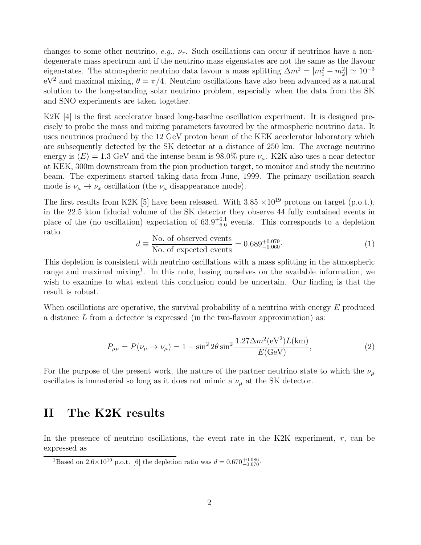changes to some other neutrino, *e.g.*,  $\nu_{\tau}$ . Such oscillations can occur if neutrinos have a nondegenerate mass spectrum and if the neutrino mass eigenstates are not the same as the flavour eigenstates. The atmospheric neutrino data favour a mass splitting  $\Delta m^2 = |m_1^2 - m_2^2| \simeq 10^{-3}$  $eV^2$  and maximal mixing,  $\theta = \pi/4$ . Neutrino oscillations have also been advanced as a natural solution to the long-standing solar neutrino problem, especially when the data from the SK and SNO experiments are taken together.

K2K [4] is the first accelerator based long-baseline oscillation experiment. It is designed precisely to probe the mass and mixing parameters favoured by the atmospheric neutrino data. It uses neutrinos produced by the 12 GeV proton beam of the KEK accelerator laboratory which are subsequently detected by the SK detector at a distance of 250 km. The average neutrino energy is  $\langle E \rangle = 1.3$  GeV and the intense beam is 98.0% pure  $\nu_{\mu}$ . K2K also uses a near detector at KEK, 300m downstream from the pion production target, to monitor and study the neutrino beam. The experiment started taking data from June, 1999. The primary oscillation search mode is  $\nu_{\mu} \rightarrow \nu_{x}$  oscillation (the  $\nu_{\mu}$  disappearance mode).

The first results from K2K [5] have been released. With  $3.85 \times 10^{19}$  protons on target (p.o.t.), in the 22.5 kton fiducial volume of the SK detector they observe 44 fully contained events in place of the (no oscillation) expectation of  $63.9^{+6.1}_{-6.6}$  events. This corresponds to a depletion ratio

$$
d \equiv \frac{\text{No. of observed events}}{\text{No. of expected events}} = 0.689_{-0.060}^{+0.079}.
$$
 (1)

This depletion is consistent with neutrino oscillations with a mass splitting in the atmospheric range and maximal mixing<sup>1</sup>. In this note, basing ourselves on the available information, we wish to examine to what extent this conclusion could be uncertain. Our finding is that the result is robust.

When oscillations are operative, the survival probability of a neutrino with energy  $E$  produced a distance  $L$  from a detector is expressed (in the two-flavour approximation) as:

$$
P_{\mu\mu} = P(\nu_{\mu} \to \nu_{\mu}) = 1 - \sin^2 2\theta \sin^2 \frac{1.27 \Delta m^2 (eV^2) L(km)}{E(\text{GeV})},
$$
\n(2)

For the purpose of the present work, the nature of the partner neutrino state to which the  $\nu_{\mu}$ oscillates is immaterial so long as it does not mimic a  $\nu_{\mu}$  at the SK detector.

#### II The K2K results

In the presence of neutrino oscillations, the event rate in the K2K experiment,  $r$ , can be expressed as

<sup>&</sup>lt;sup>1</sup>Based on 2.6×10<sup>19</sup> p.o.t. [6] the depletion ratio was  $d = 0.670^{+0.086}_{-0.070}$ .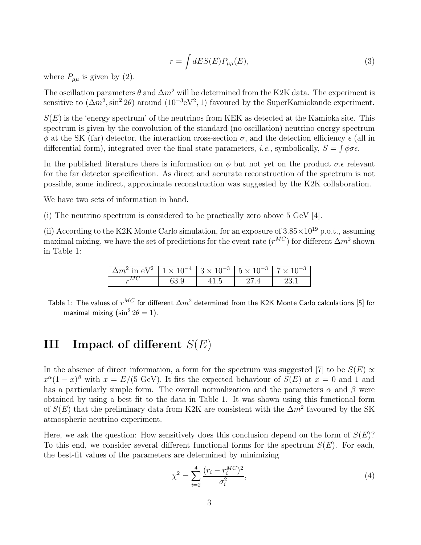$$
r = \int dE S(E) P_{\mu\mu}(E), \tag{3}
$$

where  $P_{\mu\mu}$  is given by (2).

The oscillation parameters  $\theta$  and  $\Delta m^2$  will be determined from the K2K data. The experiment is sensitive to  $(\Delta m^2, \sin^2 2\theta)$  around  $(10^{-3}$ eV<sup>2</sup>, 1) favoured by the SuperKamiokande experiment.

 $S(E)$  is the 'energy spectrum' of the neutrinos from KEK as detected at the Kamioka site. This spectrum is given by the convolution of the standard (no oscillation) neutrino energy spectrum  $\phi$  at the SK (far) detector, the interaction cross-section  $\sigma$ , and the detection efficiency  $\epsilon$  (all in differential form), integrated over the final state parameters, *i.e.*, symbolically,  $S = \int \phi \sigma \epsilon$ .

In the published literature there is information on  $\phi$  but not yet on the product  $\sigma$ . $\epsilon$  relevant for the far detector specification. As direct and accurate reconstruction of the spectrum is not possible, some indirect, approximate reconstruction was suggested by the K2K collaboration.

We have two sets of information in hand.

(i) The neutrino spectrum is considered to be practically zero above 5 GeV [4].

(ii) According to the K2K Monte Carlo simulation, for an exposure of  $3.85 \times 10^{19}$  p.o.t., assuming maximal mixing, we have the set of predictions for the event rate  $(r^{MC})$  for different  $\Delta m^2$  shown in Table 1:

| $\Delta m^2$ in eV <sup>2</sup>   1 × 10 <sup>-4</sup>   3 × 10 <sup>-3</sup>   5 × 10 <sup>-3</sup>   7 × 10 <sup>-3</sup> |  |  |
|-----------------------------------------------------------------------------------------------------------------------------|--|--|
|                                                                                                                             |  |  |

Table 1: The values of  $r^{MC}$  for different  $\Delta m^2$  determined from the K2K Monte Carlo calculations [5] for maximal mixing  $(\sin^2 2\theta = 1)$ .

# **III** Impact of different  $S(E)$

In the absence of direct information, a form for the spectrum was suggested [7] to be  $S(E) \propto$  $x^{\alpha}(1-x)^{\beta}$  with  $x = E/(5 \text{ GeV})$ . It fits the expected behaviour of  $S(E)$  at  $x = 0$  and 1 and has a particularly simple form. The overall normalization and the parameters  $\alpha$  and  $\beta$  were obtained by using a best fit to the data in Table 1. It was shown using this functional form of  $S(E)$  that the preliminary data from K2K are consistent with the  $\Delta m^2$  favoured by the SK atmospheric neutrino experiment.

Here, we ask the question: How sensitively does this conclusion depend on the form of  $S(E)$ ? To this end, we consider several different functional forms for the spectrum  $S(E)$ . For each, the best-fit values of the parameters are determined by minimizing

$$
\chi^2 = \sum_{i=2}^{4} \frac{(r_i - r_i^{MC})^2}{\sigma_i^2},\tag{4}
$$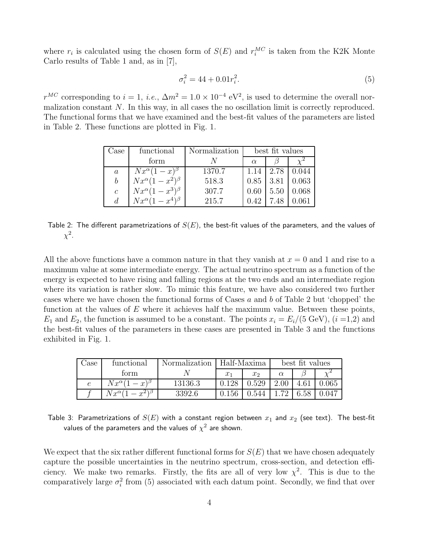where  $r_i$  is calculated using the chosen form of  $S(E)$  and  $r_i^{MC}$  is taken from the K2K Monte Carlo results of Table 1 and, as in [7],

$$
\sigma_i^2 = 44 + 0.01r_i^2. \tag{5}
$$

 $r^{MC}$  corresponding to  $i = 1$ , *i.e.*,  $\Delta m^2 = 1.0 \times 10^{-4}$  eV<sup>2</sup>, is used to determine the overall normalization constant N. In this way, in all cases the no oscillation limit is correctly reproduced. The functional forms that we have examined and the best-fit values of the parameters are listed in Table 2. These functions are plotted in Fig. 1.

| Jase          | functional                   | Normalization | best fit values |      |       |
|---------------|------------------------------|---------------|-----------------|------|-------|
|               | form                         |               | $\alpha$        |      |       |
| $\alpha$      | $Nx^{\alpha}(1-x)^{\beta}$   | 1370.7        | 1.14            | 2.78 | 0.044 |
| b             | $Nx^{\alpha}(1-x^2)^{\beta}$ | 518.3         | 0.85            | 3.81 | 0.063 |
| $\mathcal{C}$ | $Nx^{\alpha}(1-x^3)^{\beta}$ | 307.7         | 0.60            | 5.50 | 0.068 |
| d.            | $Nx^{\alpha}(1-x^4)^{\beta}$ | 215.7         |                 | 7.48 |       |

Table 2: The different parametrizations of  $S(E)$ , the best-fit values of the parameters, and the values of  $\chi^2$ .

All the above functions have a common nature in that they vanish at  $x = 0$  and 1 and rise to a maximum value at some intermediate energy. The actual neutrino spectrum as a function of the energy is expected to have rising and falling regions at the two ends and an intermediate region where its variation is rather slow. To mimic this feature, we have also considered two further cases where we have chosen the functional forms of Cases a and b of Table 2 but 'chopped' the function at the values of  $E$  where it achieves half the maximum value. Between these points,  $E_1$  and  $E_2$ , the function is assumed to be a constant. The points  $x_i = E_i/(5 \text{ GeV})$ ,  $(i = 1, 2)$  and the best-fit values of the parameters in these cases are presented in Table 3 and the functions exhibited in Fig. 1.

| Jase       | functional                    | Normalization | Half-Maxima |         | best fit values |  |       |
|------------|-------------------------------|---------------|-------------|---------|-----------------|--|-------|
|            | torm                          |               | $x_1$       | $x_{2}$ | $\alpha$        |  |       |
| $\epsilon$ | $Nx^\alpha(1$<br>$(x)^{\rho}$ | 13136.3       | 0.128       | 0.529   | 2.00            |  | 0.065 |
|            | $Nx^\alpha(1$                 | 3392.6        | 0.156       | 0.544   |                 |  | 0.047 |

Table 3: Parametrizations of  $S(E)$  with a constant region between  $x_1$  and  $x_2$  (see text). The best-fit values of the parameters and the values of  $\chi^2$  are shown.

We expect that the six rather different functional forms for  $S(E)$  that we have chosen adequately capture the possible uncertainties in the neutrino spectrum, cross-section, and detection efficiency. We make two remarks. Firstly, the fits are all of very low  $\chi^2$ . This is due to the comparatively large  $\sigma_i^2$  from (5) associated with each datum point. Secondly, we find that over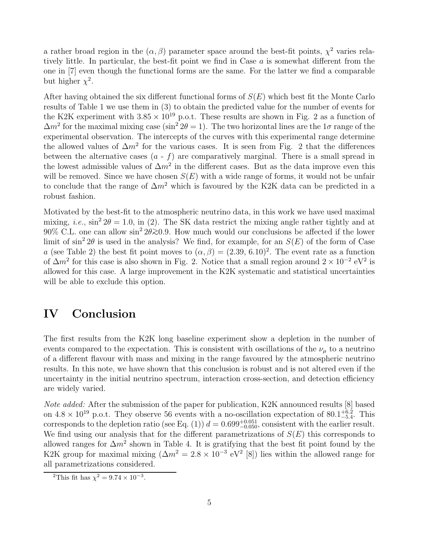a rather broad region in the  $(\alpha, \beta)$  parameter space around the best-fit points,  $\chi^2$  varies relatively little. In particular, the best-fit point we find in Case  $a$  is somewhat different from the one in [7] even though the functional forms are the same. For the latter we find a comparable but higher  $\chi^2$ .

After having obtained the six different functional forms of  $S(E)$  which best fit the Monte Carlo results of Table 1 we use them in (3) to obtain the predicted value for the number of events for the K2K experiment with  $3.85 \times 10^{19}$  p.o.t. These results are shown in Fig. 2 as a function of  $\Delta m^2$  for the maximal mixing case (sin<sup>2</sup>  $2\theta = 1$ ). The two horizontal lines are the 1 $\sigma$  range of the experimental observation. The intercepts of the curves with this experimental range determine the allowed values of  $\Delta m^2$  for the various cases. It is seen from Fig. 2 that the differences between the alternative cases  $(a - f)$  are comparatively marginal. There is a small spread in the lowest admissible values of  $\Delta m^2$  in the different cases. But as the data improve even this will be removed. Since we have chosen  $S(E)$  with a wide range of forms, it would not be unfair to conclude that the range of  $\Delta m^2$  which is favoured by the K2K data can be predicted in a robust fashion.

Motivated by the best-fit to the atmospheric neutrino data, in this work we have used maximal mixing, *i.e.*,  $\sin^2 2\theta = 1.0$ , in (2). The SK data restrict the mixing angle rather tightly and at 90% C.L. one can allow  $\sin^2 2\theta \gtrsim 0.9$ . How much would our conclusions be affected if the lower limit of  $\sin^2 2\theta$  is used in the analysis? We find, for example, for an  $S(E)$  of the form of Case a (see Table 2) the best fit point moves to  $(\alpha, \beta) = (2.39, 6.10)^2$ . The event rate as a function of  $\Delta m^2$  for this case is also shown in Fig. 2. Notice that a small region around  $2 \times 10^{-2}$  eV<sup>2</sup> is allowed for this case. A large improvement in the K2K systematic and statistical uncertainties will be able to exclude this option.

## IV Conclusion

The first results from the K2K long baseline experiment show a depletion in the number of events compared to the expectation. This is consistent with oscillations of the  $\nu_{\mu}$  to a neutrino of a different flavour with mass and mixing in the range favoured by the atmospheric neutrino results. In this note, we have shown that this conclusion is robust and is not altered even if the uncertainty in the initial neutrino spectrum, interaction cross-section, and detection efficiency are widely varied.

*Note added:* After the submission of the paper for publication, K2K announced results [8] based on  $4.8 \times 10^{19}$  p.o.t. They observe 56 events with a no-oscillation expectation of  $80.1^{+6.2}_{-5.4}$ . This corresponds to the depletion ratio (see Eq. (1))  $d = 0.699^{+0.051}_{-0.050}$ , consistent with the earlier result. We find using our analysis that for the different parametrizations of  $S(E)$  this corresponds to allowed ranges for  $\Delta m^2$  shown in Table 4. It is gratifying that the best fit point found by the K2K group for maximal mixing  $(\Delta m^2 = 2.8 \times 10^{-3} \text{ eV}^2)$  [8]) lies within the allowed range for all parametrizations considered.

<sup>&</sup>lt;sup>2</sup>This fit has  $\chi^2 = 9.74 \times 10^{-3}$ .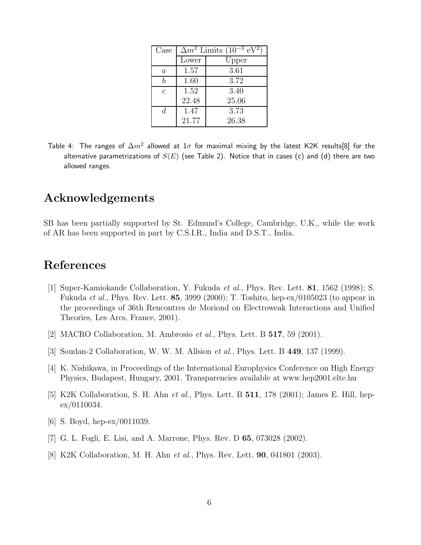| Case             | $\Delta m^2$ Limits (10 <sup>-3</sup> eV |       |  |
|------------------|------------------------------------------|-------|--|
|                  | Lower                                    | Upper |  |
| $\boldsymbol{a}$ | 1.57                                     | 3.61  |  |
|                  | 1.60                                     | 3.72  |  |
| $\mathcal{C}$    | 1.52                                     | 3.40  |  |
|                  | 22.48                                    | 25.06 |  |
| d.               | 1.47                                     | 3.73  |  |
|                  | 21.77                                    | 26.38 |  |

Table 4: The ranges of  $\Delta m^2$  allowed at  $1\sigma$  for maximal mixing by the latest K2K results[8] for the alternative parametrizations of  $S(E)$  (see Table 2). Notice that in cases (c) and (d) there are two allowed ranges.

# Acknowledgements

SB has been partially supported by St. Edmund's College, Cambridge, U.K., while the work of AR has been supported in part by C.S.I.R., India and D.S.T., India.

# References

- [1] Super-Kamiokande Collaboration, Y. Fukuda *et al.*, Phys. Rev. Lett. 81, 1562 (1998); S. Fukuda *et al.*, Phys. Rev. Lett. 85, 3999 (2000); T. Toshito, hep-ex/0105023 (to appear in the proceedings of 36th Rencontres de Moriond on Electroweak Interactions and Unified Theories, Les Arcs, France, 2001).
- [2] MACRO Collaboration, M. Ambrosio *et al.*, Phys. Lett. B 517, 59 (2001).
- [3] Soudan-2 Collaboration, W. W. M. Allsion *et al.*, Phys. Lett. B 449, 137 (1999).
- [4] K. Nishikawa, in Proceedings of the International Europhysics Conference on High Energy Physics, Budapest, Hungary, 2001. Transparencies available at www.hep2001.elte.hu
- [5] K2K Collaboration, S. H. Ahn *et al.*, Phys. Lett. B 511, 178 (2001); James E. Hill, hepex/0110034.
- [6] S. Boyd, hep-ex/0011039.
- [7] G. L. Fogli, E. Lisi, and A. Marrone, Phys. Rev. D 65, 073028 (2002).
- [8] K2K Collaboration, M. H. Ahn *et al.*, Phys. Rev. Lett. 90, 041801 (2003).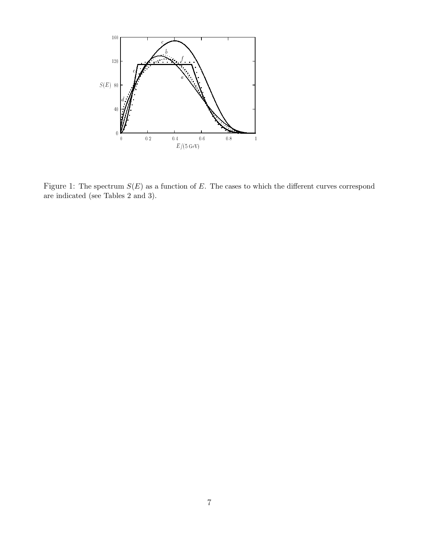

Figure 1: The spectrum  $S(E)$  as a function of E. The cases to which the different curves correspond are indicated (see Tables 2 and 3).